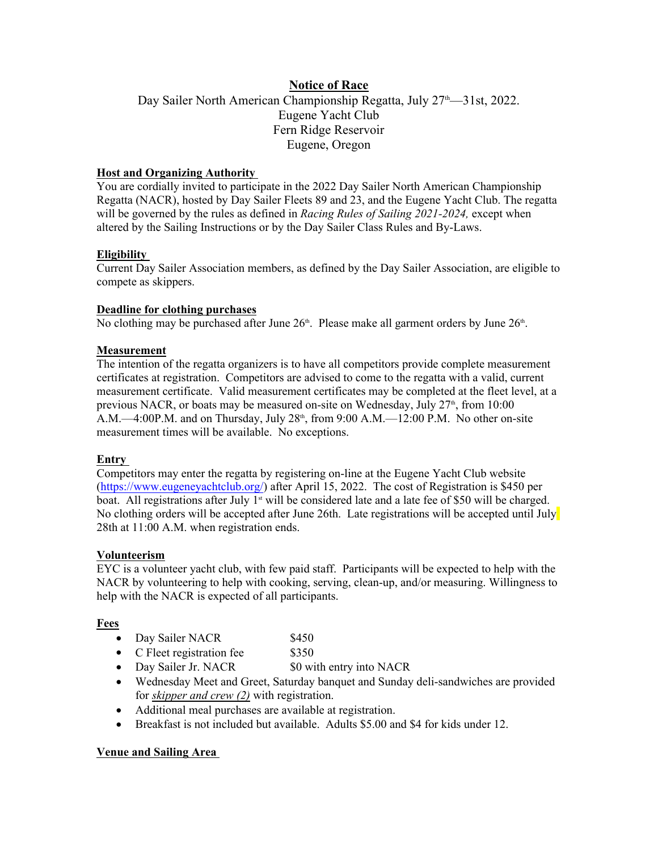# **Notice of Race**

Day Sailer North American Championship Regatta, July 27<sup>th</sup>—31st, 2022. Eugene Yacht Club Fern Ridge Reservoir Eugene, Oregon

### **Host and Organizing Authority**

You are cordially invited to participate in the 2022 Day Sailer North American Championship Regatta (NACR), hosted by Day Sailer Fleets 89 and 23, and the Eugene Yacht Club. The regatta will be governed by the rules as defined in *Racing Rules of Sailing 2021-2024,* except when altered by the Sailing Instructions or by the Day Sailer Class Rules and By-Laws.

## **Eligibility**

Current Day Sailer Association members, as defined by the Day Sailer Association, are eligible to compete as skippers.

#### **Deadline for clothing purchases**

No clothing may be purchased after June  $26<sup>th</sup>$ . Please make all garment orders by June  $26<sup>th</sup>$ . .

## **Measurement**

The intention of the regatta organizers is to have all competitors provide complete measurement certificates at registration. Competitors are advised to come to the regatta with a valid, current measurement certificate. Valid measurement certificates may be completed at the fleet level, at a previous NACR, or boats may be measured on-site on Wednesday, July  $27<sup>th</sup>$ , from 10:00 A.M.—4:00P.M. and on Thursday, July  $28<sup>th</sup>$ , from  $9:00$  A.M.—12:00 P.M. No other on-site measurement times will be available. No exceptions.

#### **Entry**

Competitors may enter the regatta by registering on-line at the Eugene Yacht Club website (https://www.eugeneyachtclub.org/) after April 15, 2022. The cost of Registration is \$450 per boat. All registrations after July  $1<sup>st</sup>$  will be considered late and a late fee of \$50 will be charged. No clothing orders will be accepted after June 26th. Late registrations will be accepted until July 28th at 11:00 A.M. when registration ends.

#### **Volunteerism**

EYC is a volunteer yacht club, with few paid staff. Participants will be expected to help with the NACR by volunteering to help with cooking, serving, clean-up, and/or measuring. Willingness to help with the NACR is expected of all participants.

#### **Fees**

| $\bullet$ | Day Sailer NACR | \$450 |  |
|-----------|-----------------|-------|--|
|-----------|-----------------|-------|--|

- C Fleet registration fee \$350
- Day Sailer Jr. NACR \$0 with entry into NACR
- Wednesday Meet and Greet, Saturday banquet and Sunday deli-sandwiches are provided for *skipper and crew (2)* with registration.
- Additional meal purchases are available at registration.
- Breakfast is not included but available. Adults \$5.00 and \$4 for kids under 12.

#### **Venue and Sailing Area**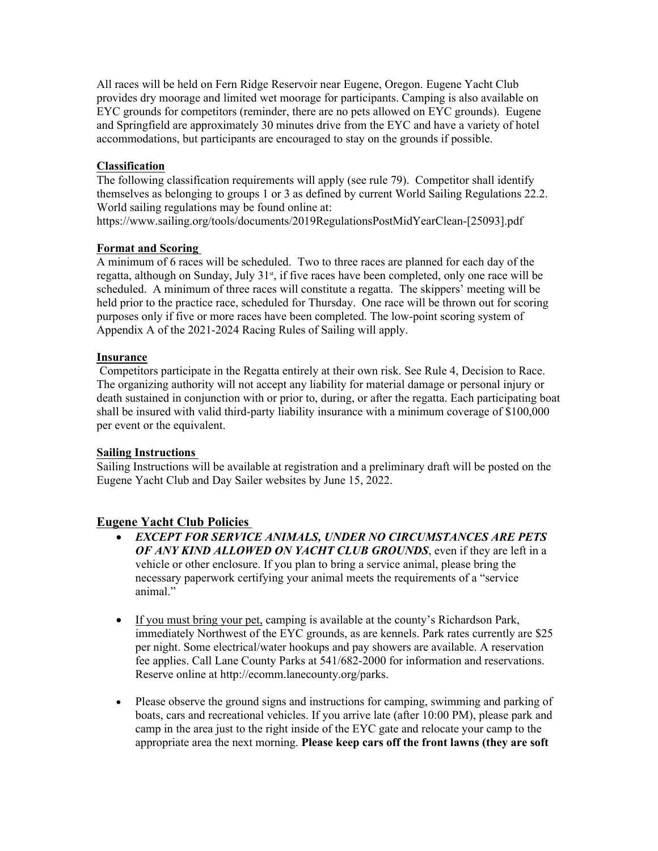All races will be held on Fern Ridge Reservoir near Eugene, Oregon. Eugene Yacht Club provides dry moorage and limited wet moorage for participants. Camping is also available on EYC grounds for competitors (reminder, there are no pets allowed on EYC grounds). Eugene and Springfield are approximately 30 minutes drive from the EYC and have a variety of hotel accommodations, but participants are encouraged to stay on the grounds if possible.

## **Classification**

The following classification requirements will apply (see rule 79). Competitor shall identify themselves as belonging to groups 1 or 3 as defined by current World Sailing Regulations 22.2. World sailing regulations may be found online at:

https://www.sailing.org/tools/documents/2019RegulationsPostMidYearClean-[25093].pdf

#### **Format and Scoring**

A minimum of 6 races will be scheduled. Two to three races are planned for each day of the regatta, although on Sunday, July  $31<sup>st</sup>$ , if five races have been completed, only one race will be scheduled. A minimum of three races will constitute a regatta. The skippers' meeting will be held prior to the practice race, scheduled for Thursday. One race will be thrown out for scoring purposes only if five or more races have been completed. The low-point scoring system of Appendix A of the 2021-2024 Racing Rules of Sailing will apply.

#### **Insurance**

 Competitors participate in the Regatta entirely at their own risk. See Rule 4, Decision to Race. The organizing authority will not accept any liability for material damage or personal injury or death sustained in conjunction with or prior to, during, or after the regatta. Each participating boat shall be insured with valid third-party liability insurance with a minimum coverage of \$100,000 per event or the equivalent.

#### **Sailing Instructions**

Sailing Instructions will be available at registration and a preliminary draft will be posted on the Eugene Yacht Club and Day Sailer websites by June 15, 2022.

# **Eugene Yacht Club Policies**

- *EXCEPT FOR SERVICE ANIMALS, UNDER NO CIRCUMSTANCES ARE PETS OF ANY KIND ALLOWED ON YACHT CLUB GROUNDS*, even if they are left in a vehicle or other enclosure. If you plan to bring a service animal, please bring the necessary paperwork certifying your animal meets the requirements of a "service animal."
- If you must bring your pet, camping is available at the county's Richardson Park, immediately Northwest of the EYC grounds, as are kennels. Park rates currently are \$25 per night. Some electrical/water hookups and pay showers are available. A reservation fee applies. Call Lane County Parks at 541/682-2000 for information and reservations. Reserve online at http://ecomm.lanecounty.org/parks.
- Please observe the ground signs and instructions for camping, swimming and parking of boats, cars and recreational vehicles. If you arrive late (after 10:00 PM), please park and camp in the area just to the right inside of the EYC gate and relocate your camp to the appropriate area the next morning. **Please keep cars off the front lawns (they are soft**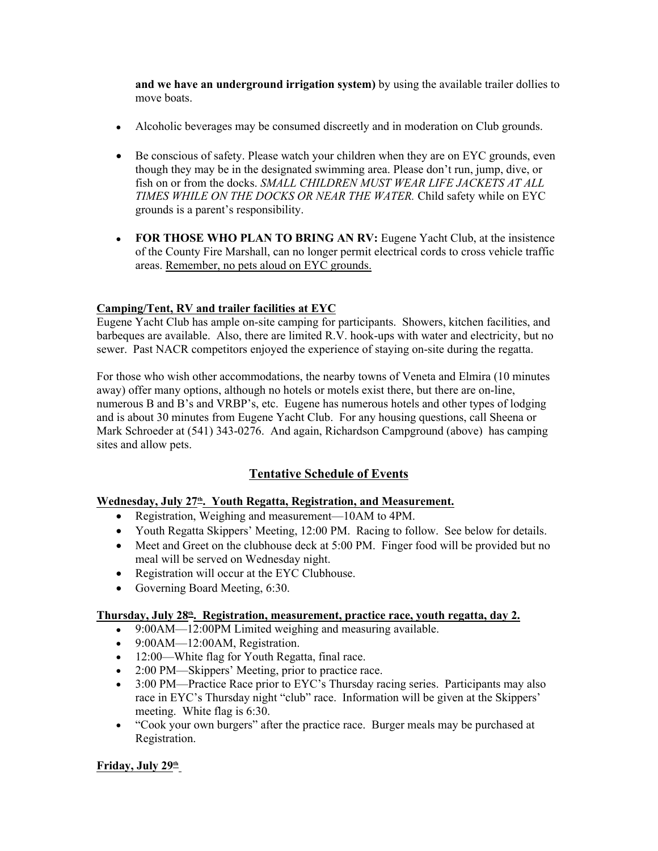**and we have an underground irrigation system)** by using the available trailer dollies to move boats.

- Alcoholic beverages may be consumed discreetly and in moderation on Club grounds.
- Be conscious of safety. Please watch your children when they are on EYC grounds, even though they may be in the designated swimming area. Please don't run, jump, dive, or fish on or from the docks. *SMALL CHILDREN MUST WEAR LIFE JACKETS AT ALL TIMES WHILE ON THE DOCKS OR NEAR THE WATER.* Child safety while on EYC grounds is a parent's responsibility.
- **FOR THOSE WHO PLAN TO BRING AN RV:** Eugene Yacht Club, at the insistence of the County Fire Marshall, can no longer permit electrical cords to cross vehicle traffic areas. Remember, no pets aloud on EYC grounds.

## **Camping/Tent, RV and trailer facilities at EYC**

Eugene Yacht Club has ample on-site camping for participants. Showers, kitchen facilities, and barbeques are available. Also, there are limited R.V. hook-ups with water and electricity, but no sewer. Past NACR competitors enjoyed the experience of staying on-site during the regatta.

For those who wish other accommodations, the nearby towns of Veneta and Elmira (10 minutes away) offer many options, although no hotels or motels exist there, but there are on-line, numerous B and B's and VRBP's, etc. Eugene has numerous hotels and other types of lodging and is about 30 minutes from Eugene Yacht Club. For any housing questions, call Sheena or Mark Schroeder at (541) 343-0276. And again, Richardson Campground (above) has camping sites and allow pets.

# **Tentative Schedule of Events**

#### **Wednesday, July 27th. Youth Regatta, Registration, and Measurement.**

- Registration, Weighing and measurement—10AM to 4PM.
- Youth Regatta Skippers' Meeting, 12:00 PM. Racing to follow. See below for details.
- Meet and Greet on the clubhouse deck at 5:00 PM. Finger food will be provided but no meal will be served on Wednesday night.
- Registration will occur at the EYC Clubhouse.
- Governing Board Meeting, 6:30.

#### **Thursday, July 28th . Registration, measurement, practice race, youth regatta, day 2.**

- 9:00AM—12:00PM Limited weighing and measuring available.
- $\bullet$  9:00AM—12:00AM, Registration.
- 12:00—White flag for Youth Regatta, final race.
- 2:00 PM—Skippers' Meeting, prior to practice race.
- 3:00 PM—Practice Race prior to EYC's Thursday racing series. Participants may also race in EYC's Thursday night "club" race. Information will be given at the Skippers' meeting. White flag is 6:30.
- "Cook your own burgers" after the practice race. Burger meals may be purchased at Registration.

#### **Friday, July 29th**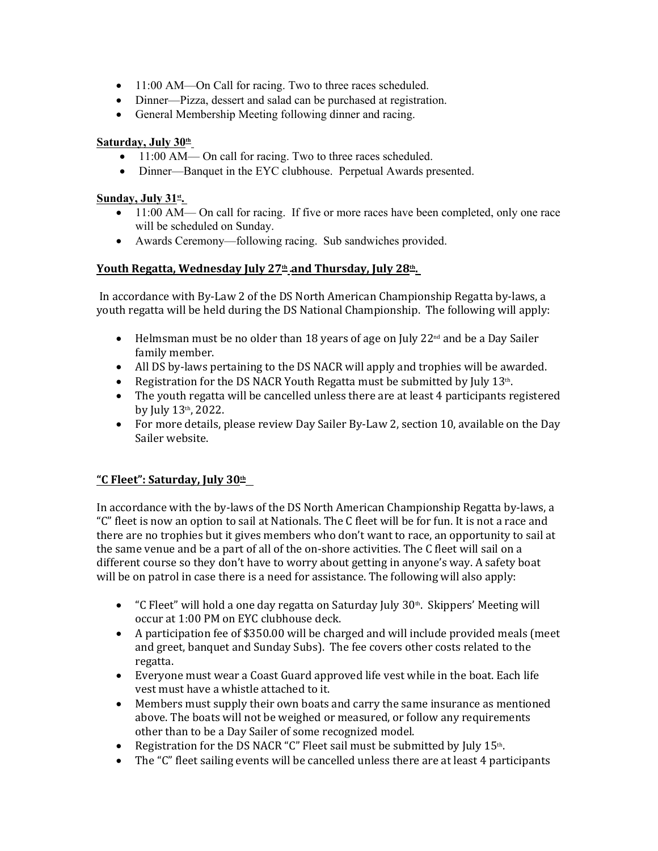- 11:00 AM—On Call for racing. Two to three races scheduled.
- Dinner—Pizza, dessert and salad can be purchased at registration.
- General Membership Meeting following dinner and racing.

# **Saturday, July 30th**

- 11:00 AM— On call for racing. Two to three races scheduled.
- Dinner—Banquet in the EYC clubhouse. Perpetual Awards presented.

## **Sunday, July 31st.**

- 11:00 AM— On call for racing. If five or more races have been completed, only one race will be scheduled on Sunday.
- Awards Ceremony—following racing. Sub sandwiches provided.

# **Youth Regatta, Wednesday July 27th and Thursday, July 28th .**

 In accordance with By-Law 2 of the DS North American Championship Regatta by-laws, a youth regatta will be held during the DS National Championship. The following will apply:

- $\bullet$  Helmsman must be no older than 18 years of age on July 22<sup>nd</sup> and be a Day Sailer family member.
- All DS by-laws pertaining to the DS NACR will apply and trophies will be awarded.
- Registration for the DS NACR Youth Regatta must be submitted by July  $13<sup>th</sup>$ . .
- The youth regatta will be cancelled unless there are at least 4 participants registered by July 13th, 2022.
- For more details, please review Day Sailer By-Law 2, section 10, available on the Day Sailer website.

# **"C Fleet": Saturday, July 30th**

In accordance with the by-laws of the DS North American Championship Regatta by-laws, a "C" fleet is now an option to sail at Nationals. The C fleet will be for fun. It is not a race and there are no trophies but it gives members who don't want to race, an opportunity to sail at the same venue and be a part of all of the on-shore activities. The C fleet will sail on a different course so they don't have to worry about getting in anyone's way. A safety boat will be on patrol in case there is a need for assistance. The following will also apply:

- "C Fleet" will hold a one day regatta on Saturday July  $30<sup>th</sup>$ . Skippers' Meeting will occur at 1:00 PM on EYC clubhouse deck.
- A participation fee of \$350.00 will be charged and will include provided meals (meet and greet, banquet and Sunday Subs). The fee covers other costs related to the regatta.
- Everyone must wear a Coast Guard approved life vest while in the boat. Each life vest must have a whistle attached to it.
- Members must supply their own boats and carry the same insurance as mentioned above. The boats will not be weighed or measured, or follow any requirements other than to be a Day Sailer of some recognized model.
- Registration for the DS NACR "C" Fleet sail must be submitted by July  $15<sup>th</sup>$ . .
- The "C" fleet sailing events will be cancelled unless there are at least 4 participants